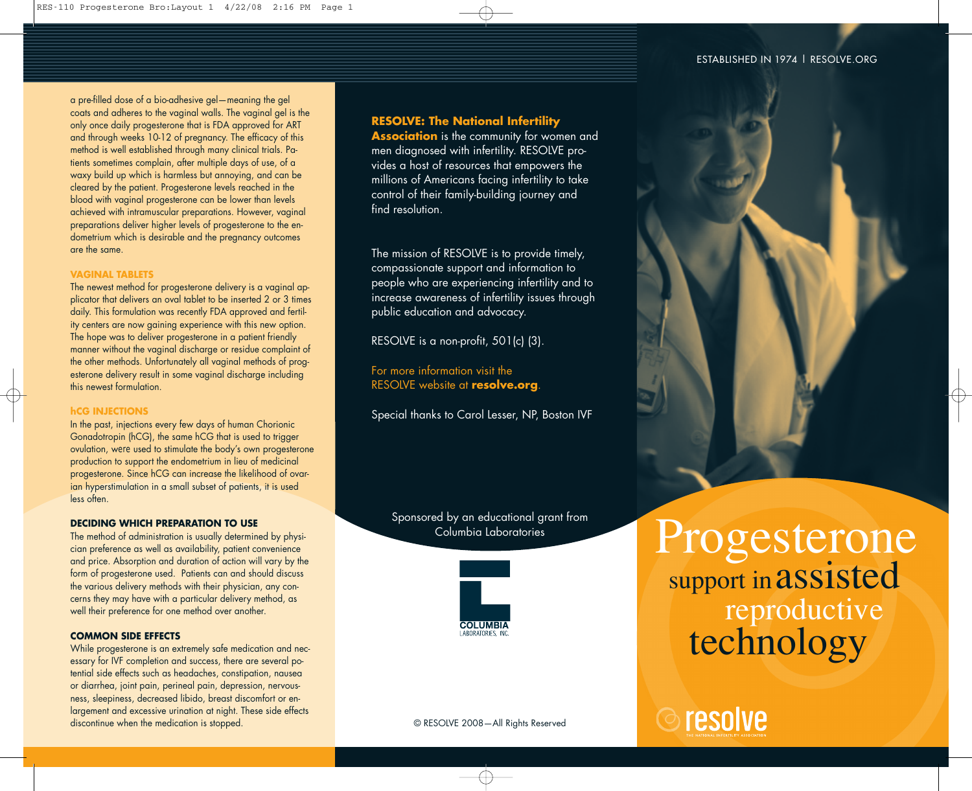#### ESTABLISHED IN 1974 | RESOLVE.ORG

a pre-filled dose of a bio-adhesive gel—meaning the gel coats and adheres to the vaginal walls. The vaginal gel is the only once daily progesterone that is FDA approved for ART and through weeks 10-12 of pregnancy. The efficacy of this method is well established through many clinical trials. Patients sometimes complain, after multiple days of use, of a waxy build up which is harmless but annoying, and can be cleared by the patient. Progesterone levels reached in the blood with vaginal progesterone can be lower than levels achieved with intramuscular preparations. However, vaginal preparations deliver higher levels of progesterone to the endometrium which is desirable and the pregnancy outcomes are the same.

#### **VAGINAL TABLETS**

The newest method for progesterone delivery is a vaginal applicator that delivers an oval tablet to be inserted 2 or 3 times daily. This formulation was recently FDA approved and fertility centers are now gaining experience with this new option. The hope was to deliver progesterone in a patient friendly manner without the vaginal discharge or residue complaint of the other methods. Unfortunately all vaginal methods of progesterone delivery result in some vaginal discharge including this newest formulation.

# **hCG INJECTIONS**

In the past, injections every few days of human Chorionic Gonadotropin (hCG), the same hCG that is used to trigger ovulation, were used to stimulate the body's own progesterone production to support the endometrium in lieu of medicinal progesterone. Since hCG can increase the likelihood of ovarian hyperstimulation in a small subset of patients, it is used less often.

#### **DECIDING WHICH PREPARATION TO USE**

The method of administration is usually determined by physician preference as well as availability, patient convenience and price. Absorption and duration of action will vary by the form of progesterone used. Patients can and should discuss the various delivery methods with their physician, any concerns they may have with a particular delivery method, as well their preference for one method over another.

#### **COMMON SIDE EFFECTS**

While progesterone is an extremely safe medication and necessary for IVF completion and success, there are several potential side effects such as headaches, constipation, nausea or diarrhea, joint pain, perineal pain, depression, nervousness, sleepiness, decreased libido, breast discomfort or enlargement and excessive urination at night. These side effects discontinue when the medication is stopped.

# **RESOLVE: The National Infertility**

**Association** is the community for women and men diagnosed with infertility. RESOLVE provides a host of resources that empowers the millions of Americans facing infertility to take control of their family-building journey and find resolution.

The mission of RESOLVE is to provide timely, compassionate support and information to people who are experiencing infertility and to increase awareness of infertility issues through public education and advocacy.

RESOLVE is a non-profit, 501(c) (3).

For more information visit the RESOLVE website at **resolve.org**.

Special thanks to Carol Lesser, NP, Boston IVF

Sponsored by an educational grant from Columbia Laboratories



Progesterone

support in assisted

technology

reproductive